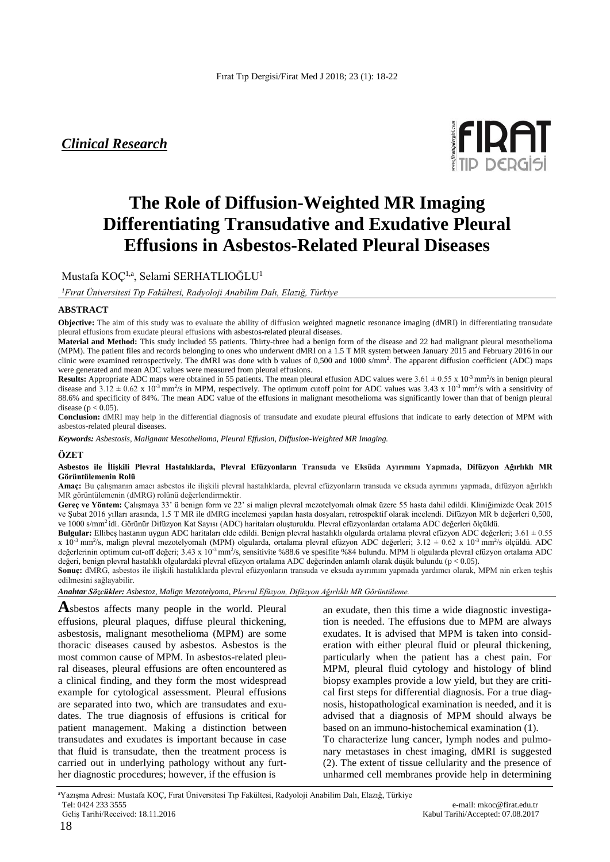# *Clinical Research*



# **The Role of Diffusion-Weighted MR Imaging Differentiating Transudative and Exudative Pleural Effusions in Asbestos-Related Pleural Diseases**

Mustafa KOÇ1,a, Selami SERHATLIOĞLU<sup>1</sup>

*<sup>1</sup>Fırat Üniversitesi Tıp Fakültesi, Radyoloji Anabilim Dalı, Elazığ, Türkiye*

#### **ABSTRACT**

**Objective:** The aim of this study was to evaluate the ability of diffusion weighted magnetic resonance imaging (dMRI) in differentiating transudate pleural effusions from exudate pleural effusions with asbestos-related pleural diseases.

**Material and Method:** This study included 55 patients. Thirty-three had a benign form of the disease and 22 had malignant pleural mesothelioma (MPM). The patient files and records belonging to ones who underwent dMRI on a 1.5 T MR system between January 2015 and February 2016 in our clinic were examined retrospectively. The dMRI was done with b values of 0,500 and 1000 s/mm<sup>2</sup>. The apparent diffusion coefficient (ADC) maps were generated and mean ADC values were measured from pleural effusions.

**Results:** Appropriate ADC maps were obtained in 55 patients. The mean pleural effusion ADC values were  $3.61 \pm 0.55 \times 10^{-3}$  mm<sup>2</sup>/s in benign pleural disease and  $3.12 \pm 0.62$  x  $10^{-3}$  mm<sup>2</sup>/s in MPM, respectively. The optimum cutoff point for ADC values was  $3.43$  x  $10^{-3}$  mm<sup>2</sup>/s with a sensitivity of 88.6% and specificity of 84%. The mean ADC value of the effusions in malignant mesothelioma was significantly lower than that of benign pleural disease ( $p < 0.05$ ).

**Conclusion:** dMRI may help in the differential diagnosis of transudate and exudate pleural effusions that indicate to early detection of MPM with asbestos-related pleural diseases.

*Keywords: Asbestosis, Malignant Mesothelioma, Pleural Effusion, Diffusion-Weighted MR Imaging.*

#### **ÖZET**

**Asbestos ile İlişkili Plevral Hastalıklarda, Plevral Efüzyonların Transuda ve Eksüda Ayırımını Yapmada, Difüzyon Ağırlıklı MR Görüntülemenin Rolü**

**Amaç:** Bu çalışmanın amacı asbestos ile ilişkili plevral hastalıklarda, plevral efüzyonların transuda ve eksuda ayrımını yapmada, difüzyon ağırlıklı MR görüntülemenin (dMRG) rolünü değerlendirmektir.

**Gereç ve Yöntem:** Çalışmaya 33' ü benign form ve 22' si malign plevral mezotelyomalı olmak üzere 55 hasta dahil edildi. Kliniğimizde Ocak 2015 ve Şubat 2016 yılları arasında, 1.5 T MR ile dMRG incelemesi yapılan hasta dosyaları, retrospektif olarak incelendi. Difüzyon MR b değerleri 0,500, ve 1000 s/mm<sup>2</sup>idi. Görünür Difüzyon Kat Sayısı (ADC) haritaları oluşturuldu. Plevral efüzyonlardan ortalama ADC değerleri ölçüldü.

**Bulgular:** Ellibeş hastanın uygun ADC haritaları elde edildi. Benign plevral hastalıklı olgularda ortalama plevral efüzyon ADC değerleri; 3.61 ± 0.55  $x$  10<sup>-3</sup> mm<sup>2</sup>/s, malign plevral mezotelyomalı (MPM) olgularda, ortalama plevral efüzyon ADC değerleri; 3.12  $\pm$  0.62 x 10<sup>-3</sup> mm<sup>2</sup>/s ölçüldü. ADC değerlerinin optimum cut-off değeri; 3.43 x 10<sup>-3</sup> mm<sup>2</sup>/s, sensitivite %88.6 ve spesifite %84 bulundu. MPM li olgularda plevral efüzyon ortalama ADC değeri, benign plevral hastalıklı olgulardaki plevral efüzyon ortalama ADC değerinden anlamlı olarak düşük bulundu (p < 0.05).

**Sonuç:** dMRG, asbestos ile ilişkili hastalıklarda plevral efüzyonların transuda ve eksuda ayırımını yapmada yardımcı olarak, MPM nin erken teşhis edilmesini sağlayabilir.

*Anahtar Sözcükler: Asbestoz, Malign Mezotelyoma, Plevral Efüzyon, Difüzyon Ağırlıklı MR Görüntüleme.*

**A**sbestos affects many people in the world. Pleural effusions, pleural plaques, diffuse pleural thickening, asbestosis, malignant mesothelioma (MPM) are some thoracic diseases caused by asbestos. Asbestos is the most common cause of MPM. In asbestos-related pleural diseases, pleural effusions are often encountered as a clinical finding, and they form the most widespread example for cytological assessment. Pleural effusions are separated into two, which are transudates and exudates. The true diagnosis of effusions is critical for patient management. Making a distinction between transudates and exudates is important because in case that fluid is transudate, then the treatment process is carried out in underlying pathology without any further diagnostic procedures; however, if the effusion is

an exudate, then this time a wide diagnostic investigation is needed. The effusions due to MPM are always exudates. It is advised that MPM is taken into consideration with either pleural fluid or pleural thickening, particularly when the patient has a chest pain. For MPM, pleural fluid cytology and histology of blind biopsy examples provide a low yield, but they are critical first steps for differential diagnosis. For a true diagnosis, histopathological examination is needed, and it is advised that a diagnosis of MPM should always be based on an immuno-histochemical examination (1). To characterize lung cancer, lymph nodes and pulmonary metastases in chest imaging, dMRI is suggested (2). The extent of tissue cellularity and the presence of unharmed cell membranes provide help in determining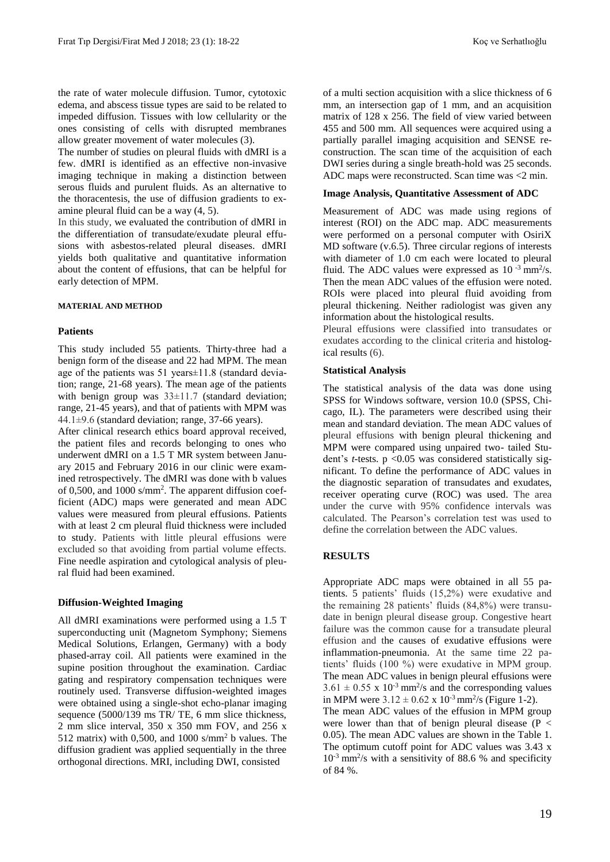the rate of water molecule diffusion. Tumor, cytotoxic edema, and abscess tissue types are said to be related to impeded diffusion. Tissues with low cellularity or the ones consisting of cells with disrupted membranes allow greater movement of water molecules (3).

The number of studies on pleural fluids with dMRI is a few. dMRI is identified as an effective non-invasive imaging technique in making a distinction between serous fluids and purulent fluids. As an alternative to the thoracentesis, the use of diffusion gradients to examine pleural fluid can be a way (4, 5).

In this study, we evaluated the contribution of dMRI in the differentiation of transudate/exudate pleural effusions with asbestos-related pleural diseases. dMRI yields both qualitative and quantitative information about the content of effusions, that can be helpful for early detection of MPM.

#### **MATERIAL AND METHOD**

#### **Patients**

This study included 55 patients. Thirty-three had a benign form of the disease and 22 had MPM. The mean age of the patients was 51 years±11.8 (standard deviation; range, 21-68 years). The mean age of the patients with benign group was  $33\pm11.7$  (standard deviation; range, 21-45 years), and that of patients with MPM was 44.1±9.6 (standard deviation; range, 37-66 years).

After clinical research ethics board approval received, the patient files and records belonging to ones who underwent dMRI on a 1.5 T MR system between January 2015 and February 2016 in our clinic were examined retrospectively. The dMRI was done with b values of 0,500, and 1000 s/mm<sup>2</sup> . The apparent diffusion coefficient (ADC) maps were generated and mean ADC values were measured from pleural effusions. Patients with at least 2 cm pleural fluid thickness were included to study. Patients with little pleural effusions were excluded so that avoiding from partial volume effects. Fine needle aspiration and cytological analysis of pleural fluid had been examined.

#### **Diffusion-Weighted Imaging**

All dMRI examinations were performed using a 1.5 T superconducting unit (Magnetom Symphony; Siemens Medical Solutions, Erlangen, Germany) with a body phased-array coil. All patients were examined in the supine position throughout the examination. Cardiac gating and respiratory compensation techniques were routinely used. Transverse diffusion-weighted images were obtained using a single-shot echo-planar imaging sequence (5000/139 ms TR/ TE, 6 mm slice thickness, 2 mm slice interval, 350 x 350 mm FOV, and 256 x 512 matrix) with 0,500, and 1000 s/mm<sup>2</sup> b values. The diffusion gradient was applied sequentially in the three orthogonal directions. MRI, including DWI, consisted

of a multi section acquisition with a slice thickness of 6 mm, an intersection gap of 1 mm, and an acquisition matrix of 128 x 256. The field of view varied between 455 and 500 mm. All sequences were acquired using a partially parallel imaging acquisition and SENSE reconstruction. The scan time of the acquisition of each DWI series during a single breath-hold was 25 seconds. ADC maps were reconstructed. Scan time was <2 min.

#### **Image Analysis, Quantitative Assessment of ADC**

Measurement of ADC was made using regions of interest (ROI) on the ADC map. ADC measurements were performed on a personal computer with OsiriX MD software (v.6.5). Three circular regions of interests with diameter of 1.0 cm each were located to pleural fluid. The ADC values were expressed as  $10^{-3}$  mm<sup>2</sup>/s. Then the mean ADC values of the effusion were noted. ROIs were placed into pleural fluid avoiding from pleural thickening. Neither radiologist was given any information about the histological results.

Pleural effusions were classified into transudates or exudates according to the clinical criteria and histological results (6).

#### **Statistical Analysis**

The statistical analysis of the data was done using SPSS for Windows software, version 10.0 (SPSS, Chicago, IL). The parameters were described using their mean and standard deviation. The mean ADC values of pleural effusions with benign pleural thickening and MPM were compared using unpaired two- tailed Student's *t-*tests. p <0.05 was considered statistically significant. To define the performance of ADC values in the diagnostic separation of transudates and exudates, receiver operating curve (ROC) was used. The area under the curve with 95% confidence intervals was calculated. The Pearson's correlation test was used to define the correlation between the ADC values.

## **RESULTS**

Appropriate ADC maps were obtained in all 55 patients. 5 patients' fluids (15,2%) were exudative and the remaining 28 patients' fluids (84,8%) were transudate in benign pleural disease group. Congestive heart failure was the common cause for a transudate pleural effusion and the causes of exudative effusions were inflammation-pneumonia. At the same time 22 patients' fluids (100 %) were exudative in MPM group. The mean ADC values in benign pleural effusions were  $3.61 \pm 0.55$  x  $10^{-3}$  mm<sup>2</sup>/s and the corresponding values in MPM were  $3.12 \pm 0.62 \times 10^{-3}$  mm<sup>2</sup>/s (Figure 1-2).

The mean ADC values of the effusion in MPM group were lower than that of benign pleural disease  $(P <$ 0.05). The mean ADC values are shown in the Table 1. The optimum cutoff point for ADC values was 3.43 x  $10^{-3}$  mm<sup>2</sup>/s with a sensitivity of 88.6 % and specificity of 84 %.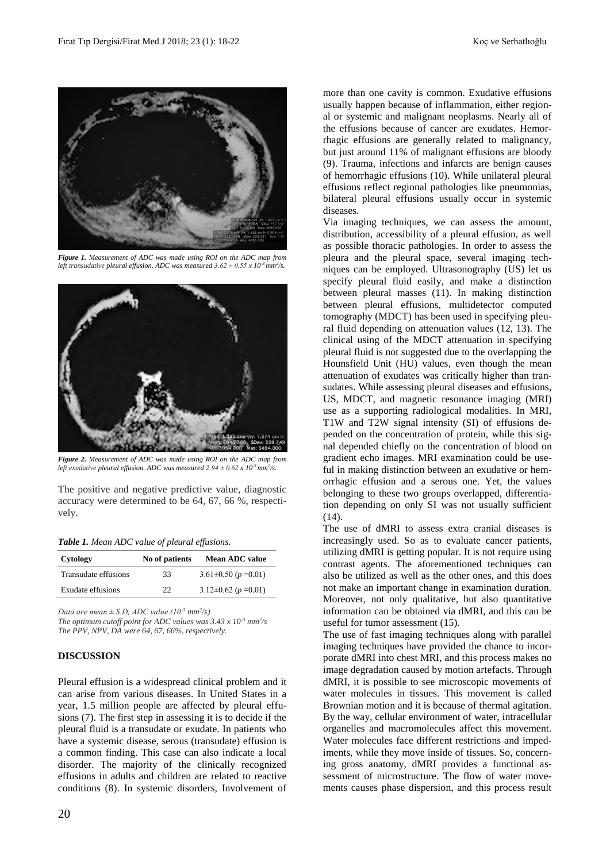

*Figure 1. Measurement of ADC was made using ROI on the ADC map from left transudative pleural effusion. ADC was measured*  $3.62 \pm 0.55 \times 10^{-3}$  mm<sup>2</sup>/s.



*Figure 2. Measurement of ADC was made using ROI on the ADC map from left exudative pleural effusion. ADC was measured*  $2.94 \pm 0.62 \times 10^{-3}$  *mm<sup>2</sup>/s.* 

The positive and negative predictive value, diagnostic accuracy were determined to be 64, 67, 66 %, respectively.

*Table 1. Mean ADC value of pleural effusions.*

| Cytology             | No of patients | <b>Mean ADC value</b>          |
|----------------------|----------------|--------------------------------|
| Transudate effusions | 33             | $3.61 \pm 0.50$ ( $p = 0.01$ ) |
| Exudate effusions    | フフ             | $3.12\pm0.62$ ( $p = 0.01$ )   |

*Data are mean*  $\pm$  *S.D, ADC value* (10<sup>-3</sup> *mm*<sup>2</sup>/s)

*The optimum cutoff point for ADC values was*  $3.43 \times 10^{-3}$  *mm<sup>2</sup>/s The PPV, NPV, DA were 64, 67, 66%, respectively.*

# **DISCUSSION**

Pleural effusion is a widespread clinical problem and it can arise from various diseases. In United States in a year, 1.5 million people are affected by pleural effusions (7). The first step in assessing it is to decide if the pleural fluid is a transudate or exudate. In patients who have a systemic disease, serous (transudate) effusion is a common finding. This case can also indicate a local disorder. The majority of the clinically recognized effusions in adults and children are related to reactive conditions (8). In systemic disorders, Involvement of

20

more than one cavity is common. Exudative effusions usually happen because of inflammation, either regional or systemic and malignant neoplasms. Nearly all of the effusions because of cancer are exudates. Hemorrhagic effusions are generally related to malignancy, but just around 11% of malignant effusions are bloody (9). Trauma, infections and infarcts are benign causes of hemorrhagic effusions (10). While unilateral pleural effusions reflect regional pathologies like pneumonias, bilateral pleural effusions usually occur in systemic diseases.

Via imaging techniques, we can assess the amount, distribution, accessibility of a pleural effusion, as well as possible thoracic pathologies. In order to assess the pleura and the pleural space, several imaging techniques can be employed. Ultrasonography (US) let us specify pleural fluid easily, and make a distinction between pleural masses (11). In making distinction between pleural effusions, multidetector computed tomography (MDCT) has been used in specifying pleural fluid depending on attenuation values (12, 13). The clinical using of the MDCT attenuation in specifying pleural fluid is not suggested due to the overlapping the Hounsfield Unit (HU) values, even though the mean attenuation of exudates was critically higher than transudates. While assessing pleural diseases and effusions, US, MDCT, and magnetic resonance imaging (MRI) use as a supporting radiological modalities. In MRI, T1W and T2W signal intensity (SI) of effusions depended on the concentration of protein, while this signal depended chiefly on the concentration of blood on gradient echo images. MRI examination could be useful in making distinction between an exudative or hemorrhagic effusion and a serous one. Yet, the values belonging to these two groups overlapped, differentiation depending on only SI was not usually sufficient  $(14)$ .

The use of dMRI to assess extra cranial diseases is increasingly used. So as to evaluate cancer patients, utilizing dMRI is getting popular. It is not require using contrast agents. The aforementioned techniques can also be utilized as well as the other ones, and this does not make an important change in examination duration. Moreover, not only qualitative, but also quantitative information can be obtained via dMRI, and this can be useful for tumor assessment (15).

The use of fast imaging techniques along with parallel imaging techniques have provided the chance to incorporate dMRI into chest MRI, and this process makes no image degradation caused by motion artefacts. Through dMRI, it is possible to see microscopic movements of water molecules in tissues. This movement is called Brownian motion and it is because of thermal agitation. By the way, cellular environment of water, intracellular organelles and macromolecules affect this movement. Water molecules face different restrictions and impediments, while they move inside of tissues. So, concerning gross anatomy, dMRI provides a functional assessment of microstructure. The flow of water movements causes phase dispersion, and this process result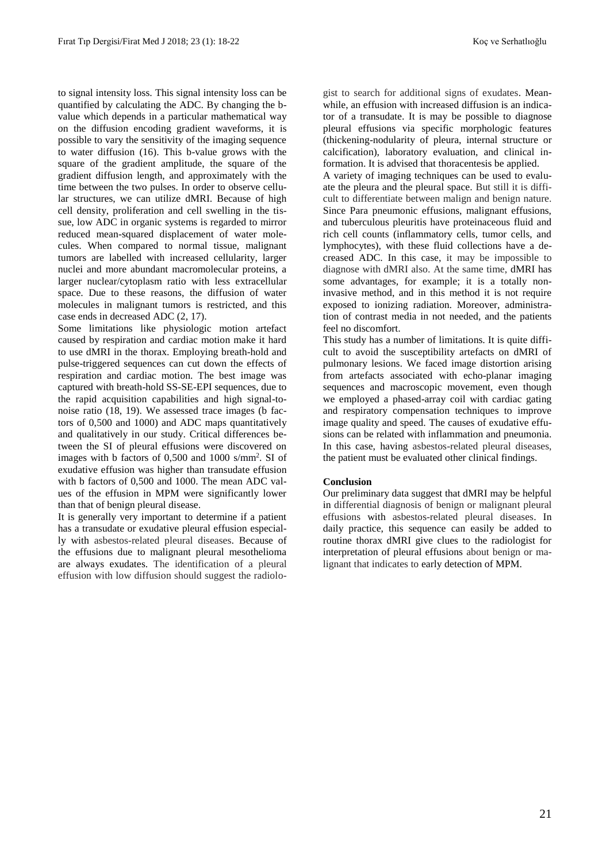to signal intensity loss. This signal intensity loss can be quantified by calculating the ADC. By changing the bvalue which depends in a particular mathematical way on the diffusion encoding gradient waveforms, it is possible to vary the sensitivity of the imaging sequence to water diffusion (16). This b-value grows with the square of the gradient amplitude, the square of the gradient diffusion length, and approximately with the time between the two pulses. In order to observe cellular structures, we can utilize dMRI. Because of high cell density, proliferation and cell swelling in the tissue, low ADC in organic systems is regarded to mirror reduced mean-squared displacement of water molecules. When compared to normal tissue, malignant tumors are labelled with increased cellularity, larger nuclei and more abundant macromolecular proteins, a larger nuclear/cytoplasm ratio with less extracellular space. Due to these reasons, the diffusion of water molecules in malignant tumors is restricted, and this case ends in decreased ADC (2, 17).

Some limitations like physiologic motion artefact caused by respiration and cardiac motion make it hard to use dMRI in the thorax. Employing breath-hold and pulse-triggered sequences can cut down the effects of respiration and cardiac motion. The best image was captured with breath-hold SS-SE-EPI sequences, due to the rapid acquisition capabilities and high signal-tonoise ratio (18, 19). We assessed trace images (b factors of 0,500 and 1000) and ADC maps quantitatively and qualitatively in our study. Critical differences between the SI of pleural effusions were discovered on images with b factors of 0,500 and 1000 s/mm<sup>2</sup> . SI of exudative effusion was higher than transudate effusion with b factors of 0,500 and 1000. The mean ADC values of the effusion in MPM were significantly lower than that of benign pleural disease.

It is generally very important to determine if a patient has a transudate or exudative pleural effusion especially with asbestos-related pleural diseases. Because of the effusions due to malignant pleural mesothelioma are always exudates. The identification of a pleural effusion with low diffusion should suggest the radiologist to search for additional signs of exudates. Meanwhile, an effusion with increased diffusion is an indicator of a transudate. It is may be possible to diagnose pleural effusions via specific morphologic features (thickening-nodularity of pleura, internal structure or calcification), laboratory evaluation, and clinical information. It is advised that thoracentesis be applied.

A variety of imaging techniques can be used to evaluate the pleura and the pleural space. But still it is difficult to differentiate between malign and benign nature. Since Para pneumonic effusions, malignant effusions, and tuberculous pleuritis have proteinaceous fluid and rich cell counts (inflammatory cells, tumor cells, and lymphocytes), with these fluid collections have a decreased ADC. In this case, it may be impossible to diagnose with dMRI also. At the same time, dMRI has some advantages, for example; it is a totally noninvasive method, and in this method it is not require exposed to ionizing radiation. Moreover, administration of contrast media in not needed, and the patients feel no discomfort.

This study has a number of limitations. It is quite difficult to avoid the susceptibility artefacts on dMRI of pulmonary lesions. We faced image distortion arising from artefacts associated with echo-planar imaging sequences and macroscopic movement, even though we employed a phased-array coil with cardiac gating and respiratory compensation techniques to improve image quality and speed. The causes of exudative effusions can be related with inflammation and pneumonia. In this case, having asbestos-related pleural diseases, the patient must be evaluated other clinical findings.

## **Conclusion**

Our preliminary data suggest that dMRI may be helpful in differential diagnosis of benign or malignant pleural effusions with asbestos-related pleural diseases. In daily practice, this sequence can easily be added to routine thorax dMRI give clues to the radiologist for interpretation of pleural effusions about benign or malignant that indicates to early detection of MPM.